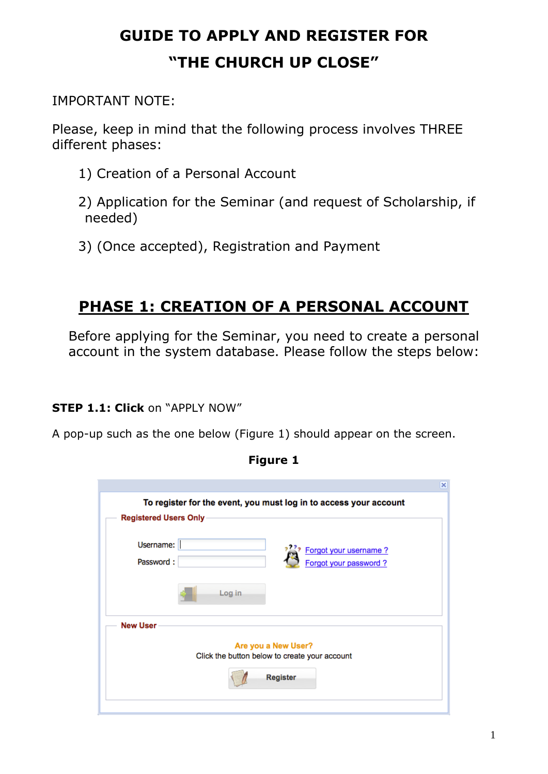# **GUIDE TO APPLY AND REGISTER FOR "THE CHURCH UP CLOSE"**

## IMPORTANT NOTE:

Please, keep in mind that the following process involves THREE different phases:

- 1) Creation of a Personal Account
- 2) Application for the Seminar (and request of Scholarship, if needed)
- 3) (Once accepted), Registration and Payment

# **PHASE 1: CREATION OF A PERSONAL ACCOUNT**

Before applying for the Seminar, you need to create a personal account in the system database. Please follow the steps below:

## **STEP 1.1: Click** on "APPLY NOW"

A pop-up such as the one below (Figure 1) should appear on the screen.

|                                                                          | × |
|--------------------------------------------------------------------------|---|
| To register for the event, you must log in to access your account        |   |
| Registered Users Only                                                    |   |
| Username:<br>Forgot your username?<br>Password:<br>Forgot your password? |   |
| Log in                                                                   |   |
| <b>New User</b>                                                          |   |
| Are you a New User?                                                      |   |
| Click the button below to create your account                            |   |
| <b>Register</b>                                                          |   |
|                                                                          |   |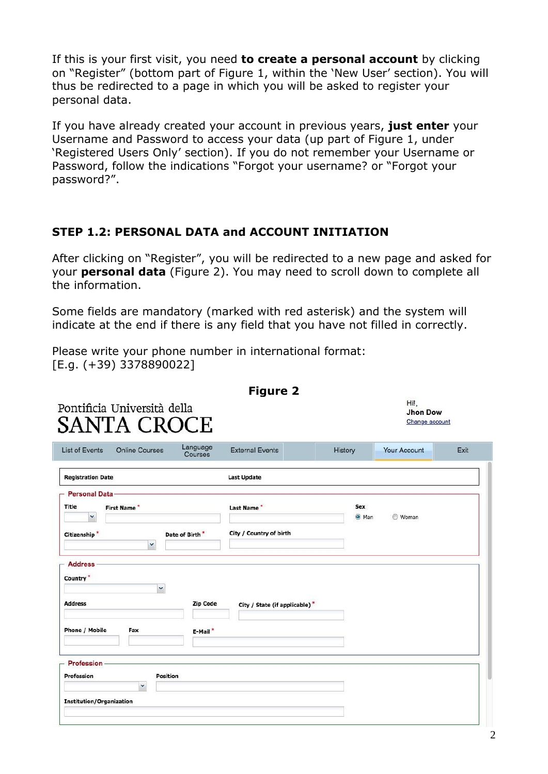If this is your first visit, you need **to create a personal account** by clicking on "Register" (bottom part of Figure 1, within the 'New User' section). You will thus be redirected to a page in which you will be asked to register your personal data.

If you have already created your account in previous years, **just enter** your Username and Password to access your data (up part of Figure 1, under 'Registered Users Only' section). If you do not remember your Username or Password, follow the indications "Forgot your username? or "Forgot your password?".

#### **STEP 1.2: PERSONAL DATA and ACCOUNT INITIATION**

After clicking on "Register", you will be redirected to a new page and asked for your **personal data** (Figure 2). You may need to scroll down to complete all the information.

Some fields are mandatory (marked with red asterisk) and the system will indicate at the end if there is any field that you have not filled in correctly.

Please write your phone number in international format: [E.g. (+39) 3378890022]

| Sex<br>O Man<br><b>Woman</b><br>City / Country of birth |
|---------------------------------------------------------|
|                                                         |
|                                                         |
| City / State (if applicable)*                           |
|                                                         |
|                                                         |
|                                                         |

2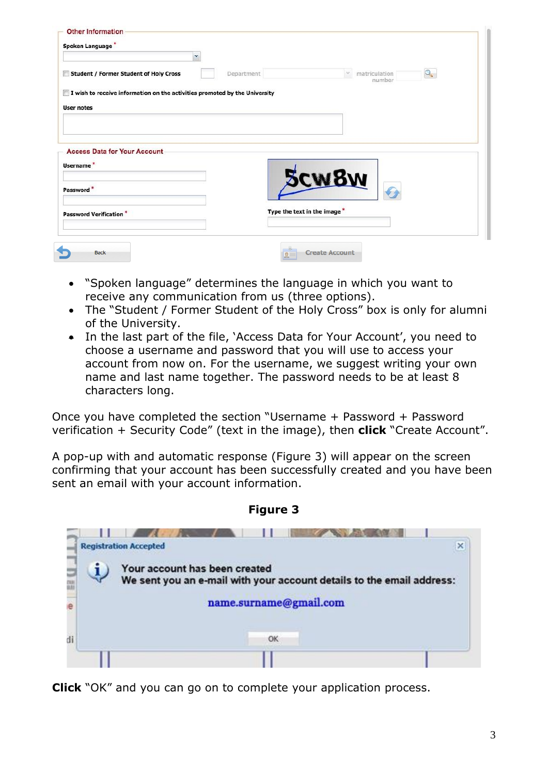| Spoken Language<br>$\checkmark$                                            |                             |                                              |
|----------------------------------------------------------------------------|-----------------------------|----------------------------------------------|
| Student / Former Student of Holy Cross                                     | Department                  | Q<br>matriculation<br>$\mathcal V$<br>number |
| I wish to receive information on the activities promoted by the University |                             |                                              |
| <b>User notes</b>                                                          |                             |                                              |
|                                                                            |                             |                                              |
| <b>Access Data for Your Account</b><br>Username <sup>*</sup>               |                             |                                              |
| Password*                                                                  |                             | <b>CW8W</b>                                  |
| <b>Password Verification*</b>                                              | Type the text in the image* |                                              |

- "Spoken language" determines the language in which you want to receive any communication from us (three options).
- The "Student / Former Student of the Holy Cross" box is only for alumni of the University.
- In the last part of the file, 'Access Data for Your Account', you need to choose a username and password that you will use to access your account from now on. For the username, we suggest writing your own name and last name together. The password needs to be at least 8 characters long.

Once you have completed the section "Username + Password + Password verification + Security Code" (text in the image), then **click** "Create Account".

A pop-up with and automatic response (Figure 3) will appear on the screen confirming that your account has been successfully created and you have been sent an email with your account information.



**Figure 3**

**Click** "OK" and you can go on to complete your application process.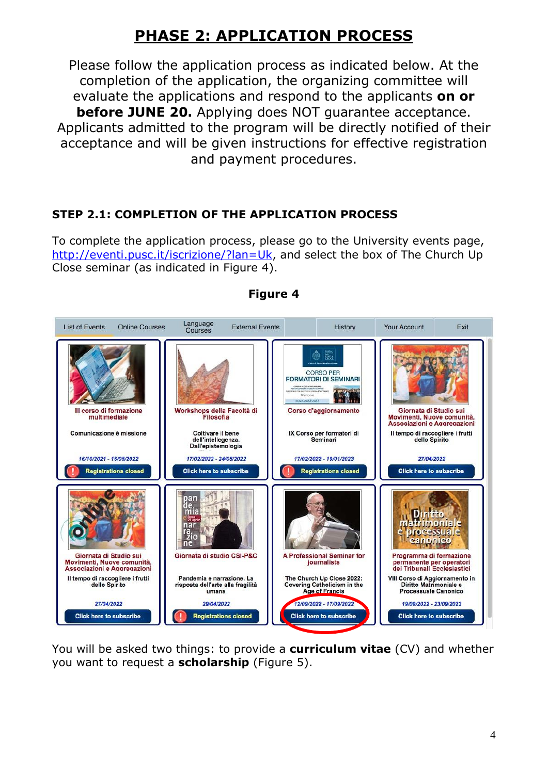# **PHASE 2: APPLICATION PROCESS**

Please follow the application process as indicated below. At the completion of the application, the organizing committee will evaluate the applications and respond to the applicants **on or before JUNE 20.** Applying does NOT quarantee acceptance. Applicants admitted to the program will be directly notified of their acceptance and will be given instructions for effective registration and payment procedures.

### **STEP 2.1: COMPLETION OF THE APPLICATION PROCESS**

To complete the application process, please go to the University events page, [http://eventi.pusc.it/iscrizione/?lan=Uk,](http://eventi.pusc.it/iscrizione/?lan=Uk) and select the box of The Church Up Close seminar (as indicated in Figure 4).



#### **Figure 4**

You will be asked two things: to provide a **curriculum vitae** (CV) and whether you want to request a **scholarship** (Figure 5).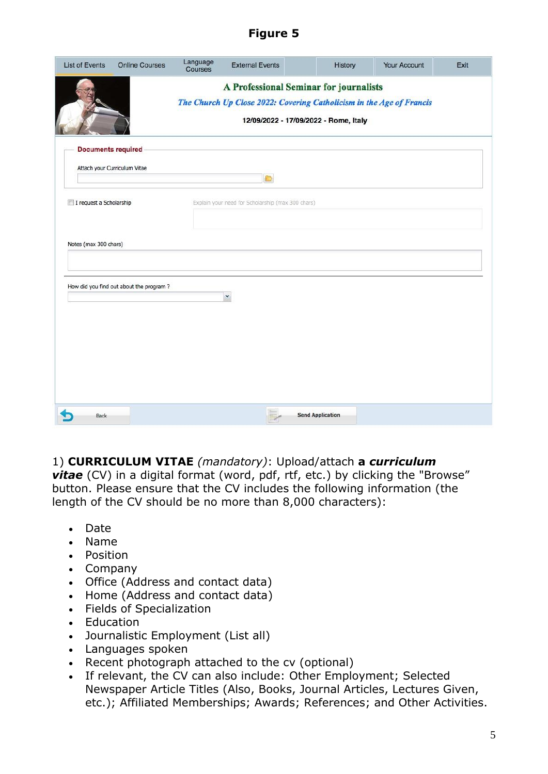### **Figure 5**

|                                         | <b>Online Courses</b> | Language<br>Courses | <b>External Events</b>                                               | History                               | Your Account | Exit |
|-----------------------------------------|-----------------------|---------------------|----------------------------------------------------------------------|---------------------------------------|--------------|------|
|                                         |                       |                     | A Professional Seminar for journalists                               |                                       |              |      |
|                                         |                       |                     | The Church Up Close 2022: Covering Catholicism in the Age of Francis |                                       |              |      |
|                                         |                       |                     |                                                                      | 12/09/2022 - 17/09/2022 - Rome, Italy |              |      |
| <b>Documents required</b>               |                       |                     |                                                                      |                                       |              |      |
| Attach your Curriculum Vitae            |                       |                     |                                                                      |                                       |              |      |
|                                         |                       |                     | D                                                                    |                                       |              |      |
| I request a Scholarship                 |                       |                     | Explain your need for Scholarship (max 300 chars)                    |                                       |              |      |
|                                         |                       |                     |                                                                      |                                       |              |      |
|                                         |                       |                     |                                                                      |                                       |              |      |
| Notes (max 300 chars)                   |                       |                     |                                                                      |                                       |              |      |
|                                         |                       |                     |                                                                      |                                       |              |      |
|                                         |                       |                     |                                                                      |                                       |              |      |
| How did you find out about the program? |                       |                     |                                                                      |                                       |              |      |
|                                         |                       |                     | ×                                                                    |                                       |              |      |
|                                         |                       |                     |                                                                      |                                       |              |      |
|                                         |                       |                     |                                                                      |                                       |              |      |
|                                         |                       |                     |                                                                      |                                       |              |      |
|                                         |                       |                     |                                                                      |                                       |              |      |
|                                         |                       |                     |                                                                      |                                       |              |      |
|                                         |                       |                     |                                                                      |                                       |              |      |
|                                         |                       |                     |                                                                      |                                       |              |      |
|                                         |                       |                     |                                                                      |                                       |              |      |

### 1) **CURRICULUM VITAE** *(mandatory)*: Upload/attach **a** *curriculum*

**vitae** (CV) in a digital format (word, pdf, rtf, etc.) by clicking the "Browse" button. Please ensure that the CV includes the following information (the length of the CV should be no more than 8,000 characters):

- Date
- Name
- Position
- Company
- Office (Address and contact data)
- Home (Address and contact data)
- Fields of Specialization
- Education
- Journalistic Employment (List all)
- Languages spoken
- Recent photograph attached to the cv (optional)
- If relevant, the CV can also include: Other Employment; Selected Newspaper Article Titles (Also, Books, Journal Articles, Lectures Given, etc.); Affiliated Memberships; Awards; References; and Other Activities.